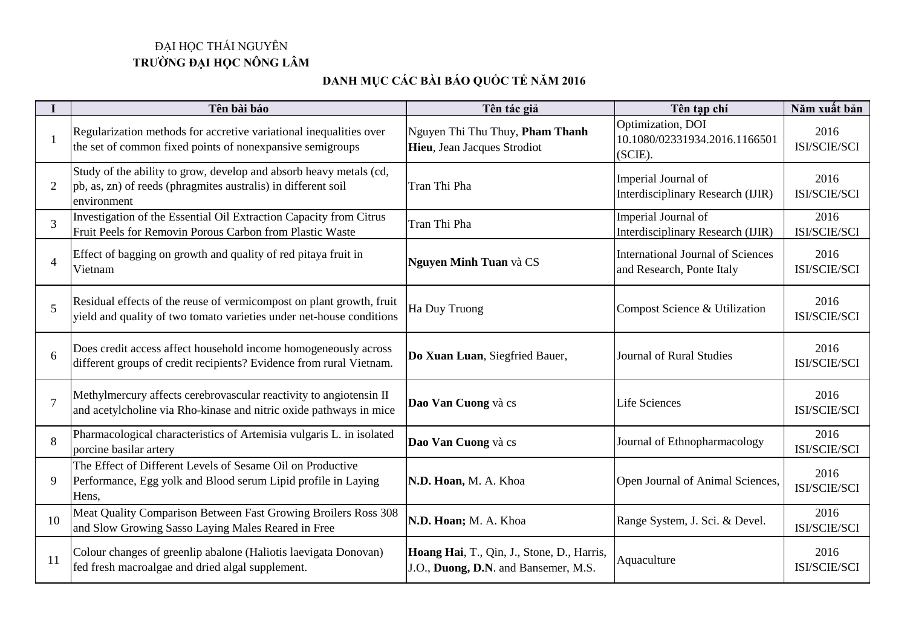## ĐẠI HỌC THÁI NGUYÊN **TRƯỜNG ĐẠI HỌC NÔNG LÂM**

## **DANH MỤC CÁC BÀI BÁO QUỐC TẾ NĂM 2016**

|                | Tên bài báo                                                                                                                                        | Tên tác giả                                                                        | Tên tạp chí                                                           | Năm xuất bản         |
|----------------|----------------------------------------------------------------------------------------------------------------------------------------------------|------------------------------------------------------------------------------------|-----------------------------------------------------------------------|----------------------|
|                | Regularization methods for accretive variational inequalities over<br>the set of common fixed points of nonexpansive semigroups                    | Nguyen Thi Thu Thuy, Pham Thanh<br>Hieu, Jean Jacques Strodiot                     | Optimization, DOI<br>10.1080/02331934.2016.1166501<br>(SCIE).         | 2016<br>ISI/SCIE/SCI |
| 2              | Study of the ability to grow, develop and absorb heavy metals (cd,<br>pb, as, zn) of reeds (phragmites australis) in different soil<br>environment | Tran Thi Pha                                                                       | Imperial Journal of<br>Interdisciplinary Research (IJIR)              | 2016<br>ISI/SCIE/SCI |
| 3              | Investigation of the Essential Oil Extraction Capacity from Citrus<br>Fruit Peels for Removin Porous Carbon from Plastic Waste                     | Tran Thi Pha                                                                       | Imperial Journal of<br>Interdisciplinary Research (IJIR)              | 2016<br>ISI/SCIE/SCI |
| $\overline{4}$ | Effect of bagging on growth and quality of red pitaya fruit in<br>Vietnam                                                                          | <b>Nguyen Minh Tuan và CS</b>                                                      | <b>International Journal of Sciences</b><br>and Research, Ponte Italy | 2016<br>ISI/SCIE/SCI |
| 5              | Residual effects of the reuse of vermicompost on plant growth, fruit<br>yield and quality of two tomato varieties under net-house conditions       | Ha Duy Truong                                                                      | Compost Science & Utilization                                         | 2016<br>ISI/SCIE/SCI |
| 6              | Does credit access affect household income homogeneously across<br>different groups of credit recipients? Evidence from rural Vietnam.             | Do Xuan Luan, Siegfried Bauer,                                                     | <b>Journal of Rural Studies</b>                                       | 2016<br>ISI/SCIE/SCI |
|                | Methylmercury affects cerebrovascular reactivity to angiotensin II<br>and acetylcholine via Rho-kinase and nitric oxide pathways in mice           | Dao Van Cuong và cs                                                                | <b>Life Sciences</b>                                                  | 2016<br>ISI/SCIE/SCI |
| 8              | Pharmacological characteristics of Artemisia vulgaris L. in isolated<br>porcine basilar artery                                                     | Dao Van Cuong và cs                                                                | Journal of Ethnopharmacology                                          | 2016<br>ISI/SCIE/SCI |
| 9              | The Effect of Different Levels of Sesame Oil on Productive<br>Performance, Egg yolk and Blood serum Lipid profile in Laying<br>Hens,               | N.D. Hoan, M. A. Khoa                                                              | Open Journal of Animal Sciences,                                      | 2016<br>ISI/SCIE/SCI |
| 10             | Meat Quality Comparison Between Fast Growing Broilers Ross 308<br>and Slow Growing Sasso Laying Males Reared in Free                               | N.D. Hoan; M. A. Khoa                                                              | Range System, J. Sci. & Devel.                                        | 2016<br>ISI/SCIE/SCI |
| 11             | Colour changes of greenlip abalone (Haliotis laevigata Donovan)<br>fed fresh macroalgae and dried algal supplement.                                | Hoang Hai, T., Qin, J., Stone, D., Harris,<br>J.O., Duong, D.N. and Bansemer, M.S. | Aquaculture                                                           | 2016<br>ISI/SCIE/SCI |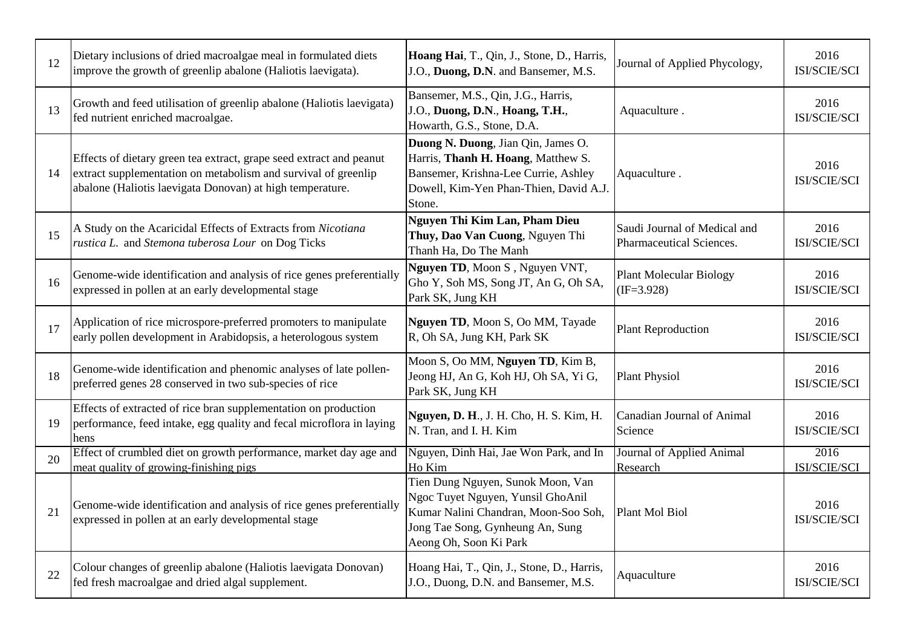| 12 | Dietary inclusions of dried macroalgae meal in formulated diets<br>improve the growth of greenlip abalone (Haliotis laevigata).                                                                    | Hoang Hai, T., Qin, J., Stone, D., Harris,<br>J.O., Duong, D.N. and Bansemer, M.S.                                                                                           | Journal of Applied Phycology,                            | 2016<br>ISI/SCIE/SCI |
|----|----------------------------------------------------------------------------------------------------------------------------------------------------------------------------------------------------|------------------------------------------------------------------------------------------------------------------------------------------------------------------------------|----------------------------------------------------------|----------------------|
| 13 | Growth and feed utilisation of greenlip abalone (Haliotis laevigata)<br>fed nutrient enriched macroalgae.                                                                                          | Bansemer, M.S., Qin, J.G., Harris,<br>J.O., Duong, D.N., Hoang, T.H.,<br>Howarth, G.S., Stone, D.A.                                                                          | Aquaculture.                                             | 2016<br>ISI/SCIE/SCI |
| 14 | Effects of dietary green tea extract, grape seed extract and peanut<br>extract supplementation on metabolism and survival of greenlip<br>abalone (Haliotis laevigata Donovan) at high temperature. | Duong N. Duong, Jian Qin, James O.<br>Harris, Thanh H. Hoang, Matthew S.<br>Bansemer, Krishna-Lee Currie, Ashley<br>Dowell, Kim-Yen Phan-Thien, David A.J.<br>Stone.         | Aquaculture.                                             | 2016<br>ISI/SCIE/SCI |
| 15 | A Study on the Acaricidal Effects of Extracts from Nicotiana<br>rustica L. and Stemona tuberosa Lour on Dog Ticks                                                                                  | Nguyen Thi Kim Lan, Pham Dieu<br>Thuy, Dao Van Cuong, Nguyen Thi<br>Thanh Ha, Do The Manh                                                                                    | Saudi Journal of Medical and<br>Pharmaceutical Sciences. | 2016<br>ISI/SCIE/SCI |
| 16 | Genome-wide identification and analysis of rice genes preferentially<br>expressed in pollen at an early developmental stage                                                                        | Nguyen TD, Moon S, Nguyen VNT,<br>Gho Y, Soh MS, Song JT, An G, Oh SA,<br>Park SK, Jung KH                                                                                   | <b>Plant Molecular Biology</b><br>$(IF=3.928)$           | 2016<br>ISI/SCIE/SCI |
| 17 | Application of rice microspore-preferred promoters to manipulate<br>early pollen development in Arabidopsis, a heterologous system                                                                 | Nguyen TD, Moon S, Oo MM, Tayade<br>R, Oh SA, Jung KH, Park SK                                                                                                               | <b>Plant Reproduction</b>                                | 2016<br>ISI/SCIE/SCI |
| 18 | Genome-wide identification and phenomic analyses of late pollen-<br>preferred genes 28 conserved in two sub-species of rice                                                                        | Moon S, Oo MM, Nguyen TD, Kim B,<br>Jeong HJ, An G, Koh HJ, Oh SA, Yi G,<br>Park SK, Jung KH                                                                                 | <b>Plant Physiol</b>                                     | 2016<br>ISI/SCIE/SCI |
| 19 | Effects of extracted of rice bran supplementation on production<br>performance, feed intake, egg quality and fecal microflora in laying<br>hens                                                    | Nguyen, D. H., J. H. Cho, H. S. Kim, H.<br>N. Tran, and I. H. Kim                                                                                                            | Canadian Journal of Animal<br>Science                    | 2016<br>ISI/SCIE/SCI |
| 20 | Effect of crumbled diet on growth performance, market day age and<br>meat quality of growing-finishing pigs                                                                                        | Nguyen, Dinh Hai, Jae Won Park, and In<br>Ho Kim                                                                                                                             | Journal of Applied Animal<br>Research                    | 2016<br>ISI/SCIE/SCI |
| 21 | Genome-wide identification and analysis of rice genes preferentially<br>expressed in pollen at an early developmental stage                                                                        | Tien Dung Nguyen, Sunok Moon, Van<br>Ngoc Tuyet Nguyen, Yunsil GhoAnil<br>Kumar Nalini Chandran, Moon-Soo Soh,<br>Jong Tae Song, Gynheung An, Sung<br>Aeong Oh, Soon Ki Park | Plant Mol Biol                                           | 2016<br>ISI/SCIE/SCI |
| 22 | Colour changes of greenlip abalone (Haliotis laevigata Donovan)<br>fed fresh macroalgae and dried algal supplement.                                                                                | Hoang Hai, T., Qin, J., Stone, D., Harris,<br>J.O., Duong, D.N. and Bansemer, M.S.                                                                                           | Aquaculture                                              | 2016<br>ISI/SCIE/SCI |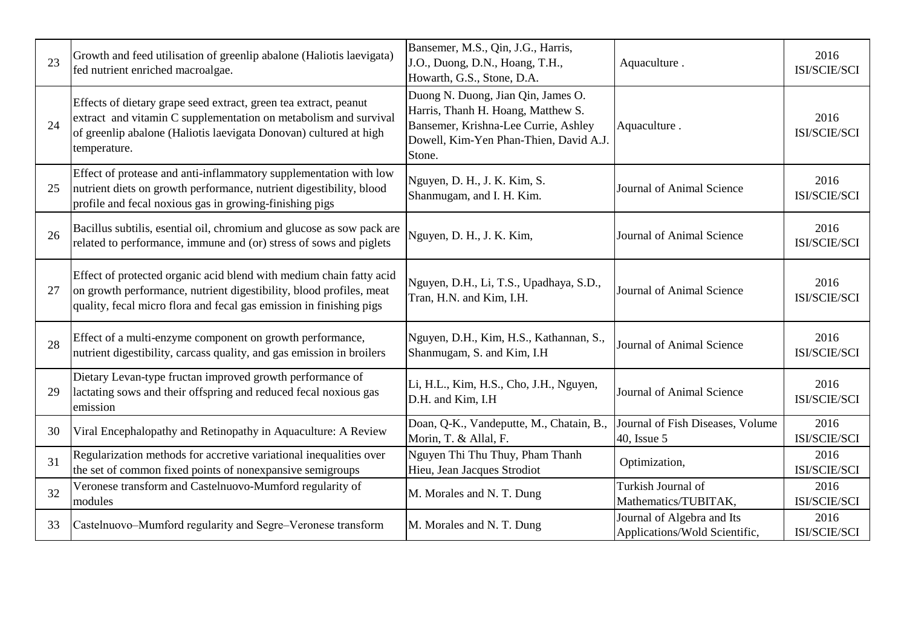| 23 | Growth and feed utilisation of greenlip abalone (Haliotis laevigata)<br>fed nutrient enriched macroalgae.                                                                                                                 | Bansemer, M.S., Qin, J.G., Harris,<br>J.O., Duong, D.N., Hoang, T.H.,<br>Howarth, G.S., Stone, D.A.                                                                  | Aquaculture.                                                | 2016<br>ISI/SCIE/SCI |
|----|---------------------------------------------------------------------------------------------------------------------------------------------------------------------------------------------------------------------------|----------------------------------------------------------------------------------------------------------------------------------------------------------------------|-------------------------------------------------------------|----------------------|
| 24 | Effects of dietary grape seed extract, green tea extract, peanut<br>extract and vitamin C supplementation on metabolism and survival<br>of greenlip abalone (Haliotis laevigata Donovan) cultured at high<br>temperature. | Duong N. Duong, Jian Qin, James O.<br>Harris, Thanh H. Hoang, Matthew S.<br>Bansemer, Krishna-Lee Currie, Ashley<br>Dowell, Kim-Yen Phan-Thien, David A.J.<br>Stone. | Aquaculture.                                                | 2016<br>ISI/SCIE/SCI |
| 25 | Effect of protease and anti-inflammatory supplementation with low<br>nutrient diets on growth performance, nutrient digestibility, blood<br>profile and fecal noxious gas in growing-finishing pigs                       | Nguyen, D. H., J. K. Kim, S.<br>Shanmugam, and I. H. Kim.                                                                                                            | Journal of Animal Science                                   | 2016<br>ISI/SCIE/SCI |
| 26 | Bacillus subtilis, esential oil, chromium and glucose as sow pack are<br>related to performance, immune and (or) stress of sows and piglets                                                                               | Nguyen, D. H., J. K. Kim,                                                                                                                                            | Journal of Animal Science                                   | 2016<br>ISI/SCIE/SCI |
| 27 | Effect of protected organic acid blend with medium chain fatty acid<br>on growth performance, nutrient digestibility, blood profiles, meat<br>quality, fecal micro flora and fecal gas emission in finishing pigs         | Nguyen, D.H., Li, T.S., Upadhaya, S.D.,<br>Tran, H.N. and Kim, I.H.                                                                                                  | Journal of Animal Science                                   | 2016<br>ISI/SCIE/SCI |
| 28 | Effect of a multi-enzyme component on growth performance,<br>nutrient digestibility, carcass quality, and gas emission in broilers                                                                                        | Nguyen, D.H., Kim, H.S., Kathannan, S.,<br>Shanmugam, S. and Kim, I.H.                                                                                               | Journal of Animal Science                                   | 2016<br>ISI/SCIE/SCI |
| 29 | Dietary Levan-type fructan improved growth performance of<br>lactating sows and their offspring and reduced fecal noxious gas<br>emission                                                                                 | Li, H.L., Kim, H.S., Cho, J.H., Nguyen,<br>D.H. and Kim, I.H                                                                                                         | Journal of Animal Science                                   | 2016<br>ISI/SCIE/SCI |
| 30 | Viral Encephalopathy and Retinopathy in Aquaculture: A Review                                                                                                                                                             | Doan, Q-K., Vandeputte, M., Chatain, B.,<br>Morin, T. & Allal, F.                                                                                                    | Journal of Fish Diseases, Volume<br>40, Issue 5             | 2016<br>ISI/SCIE/SCI |
| 31 | Regularization methods for accretive variational inequalities over<br>the set of common fixed points of nonexpansive semigroups                                                                                           | Nguyen Thi Thu Thuy, Pham Thanh<br>Hieu, Jean Jacques Strodiot                                                                                                       | Optimization,                                               | 2016<br>ISI/SCIE/SCI |
| 32 | Veronese transform and Castelnuovo-Mumford regularity of<br>modules                                                                                                                                                       | M. Morales and N. T. Dung                                                                                                                                            | Turkish Journal of<br>Mathematics/TUBITAK,                  | 2016<br>ISI/SCIE/SCI |
| 33 | Castelnuovo-Mumford regularity and Segre-Veronese transform                                                                                                                                                               | M. Morales and N. T. Dung                                                                                                                                            | Journal of Algebra and Its<br>Applications/Wold Scientific, | 2016<br>ISI/SCIE/SCI |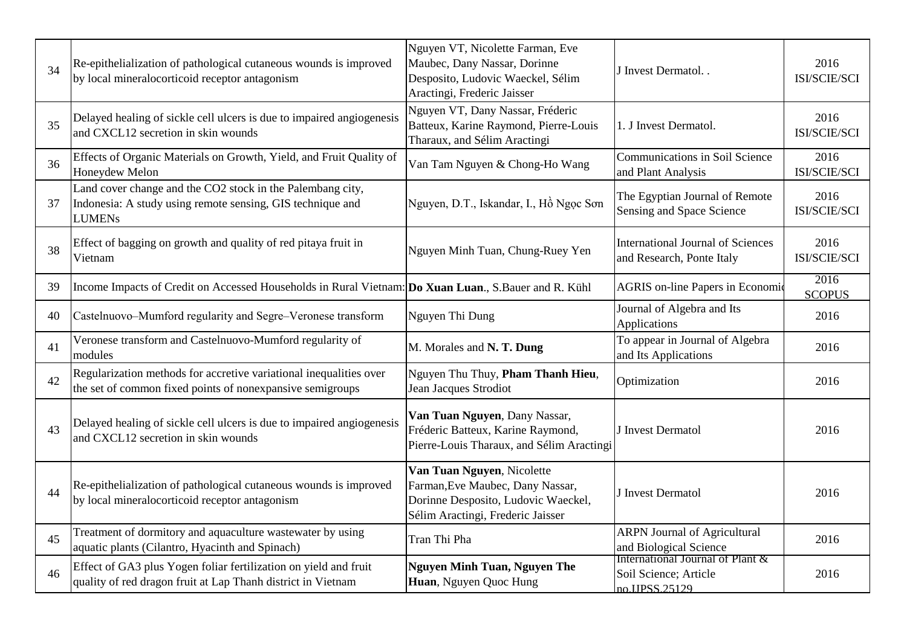| 34 | Re-epithelialization of pathological cutaneous wounds is improved<br>by local mineralocorticoid receptor antagonism                       | Nguyen VT, Nicolette Farman, Eve<br>Maubec, Dany Nassar, Dorinne<br>Desposito, Ludovic Waeckel, Sélim<br>Aractingi, Frederic Jaisser       | J Invest Dermatol                                                          | 2016<br>ISI/SCIE/SCI  |
|----|-------------------------------------------------------------------------------------------------------------------------------------------|--------------------------------------------------------------------------------------------------------------------------------------------|----------------------------------------------------------------------------|-----------------------|
| 35 | Delayed healing of sickle cell ulcers is due to impaired angiogenesis<br>and CXCL12 secretion in skin wounds                              | Nguyen VT, Dany Nassar, Fréderic<br>Batteux, Karine Raymond, Pierre-Louis<br>Tharaux, and Sélim Aractingi                                  | 1. J Invest Dermatol.                                                      | 2016<br>ISI/SCIE/SCI  |
| 36 | Effects of Organic Materials on Growth, Yield, and Fruit Quality of<br>Honeydew Melon                                                     | Van Tam Nguyen & Chong-Ho Wang                                                                                                             | <b>Communications in Soil Science</b><br>and Plant Analysis                | 2016<br>ISI/SCIE/SCI  |
| 37 | Land cover change and the CO2 stock in the Palembang city,<br>Indonesia: A study using remote sensing, GIS technique and<br><b>LUMENs</b> | Nguyen, D.T., Iskandar, I., Hồ Ngọc Sơn                                                                                                    | The Egyptian Journal of Remote<br>Sensing and Space Science                | 2016<br>ISI/SCIE/SCI  |
| 38 | Effect of bagging on growth and quality of red pitaya fruit in<br>Vietnam                                                                 | Nguyen Minh Tuan, Chung-Ruey Yen                                                                                                           | <b>International Journal of Sciences</b><br>and Research, Ponte Italy      | 2016<br>ISI/SCIE/SCI  |
| 39 | Income Impacts of Credit on Accessed Households in Rural Vietnam: Do Xuan Luan., S.Bauer and R. Kühl                                      |                                                                                                                                            | <b>AGRIS</b> on-line Papers in Economic                                    | 2016<br><b>SCOPUS</b> |
| 40 | Castelnuovo-Mumford regularity and Segre-Veronese transform                                                                               | Nguyen Thi Dung                                                                                                                            | Journal of Algebra and Its<br>Applications                                 | 2016                  |
| 41 | Veronese transform and Castelnuovo-Mumford regularity of<br>modules                                                                       | M. Morales and N. T. Dung                                                                                                                  | To appear in Journal of Algebra<br>and Its Applications                    | 2016                  |
| 42 | Regularization methods for accretive variational inequalities over<br>the set of common fixed points of nonexpansive semigroups           | Nguyen Thu Thuy, Pham Thanh Hieu,<br>Jean Jacques Strodiot                                                                                 | Optimization                                                               | 2016                  |
| 43 | Delayed healing of sickle cell ulcers is due to impaired angiogenesis<br>and CXCL12 secretion in skin wounds                              | Van Tuan Nguyen, Dany Nassar,<br>Fréderic Batteux, Karine Raymond,<br>Pierre-Louis Tharaux, and Sélim Aractingi                            | J Invest Dermatol                                                          | 2016                  |
| 44 | Re-epithelialization of pathological cutaneous wounds is improved<br>by local mineralocorticoid receptor antagonism                       | Van Tuan Nguyen, Nicolette<br>Farman, Eve Maubec, Dany Nassar,<br>Dorinne Desposito, Ludovic Waeckel,<br>Sélim Aractingi, Frederic Jaisser | J Invest Dermatol                                                          | 2016                  |
| 45 | Treatment of dormitory and aquaculture wastewater by using<br>aquatic plants (Cilantro, Hyacinth and Spinach)                             | Tran Thi Pha                                                                                                                               | <b>ARPN Journal of Agricultural</b><br>and Biological Science              | 2016                  |
| 46 | Effect of GA3 plus Yogen foliar fertilization on yield and fruit<br>quality of red dragon fruit at Lap Thanh district in Vietnam          | Nguyen Minh Tuan, Nguyen The<br>Huan, Nguyen Quoc Hung                                                                                     | International Journal of Plant &<br>Soil Science; Article<br>no HPSS 25129 | 2016                  |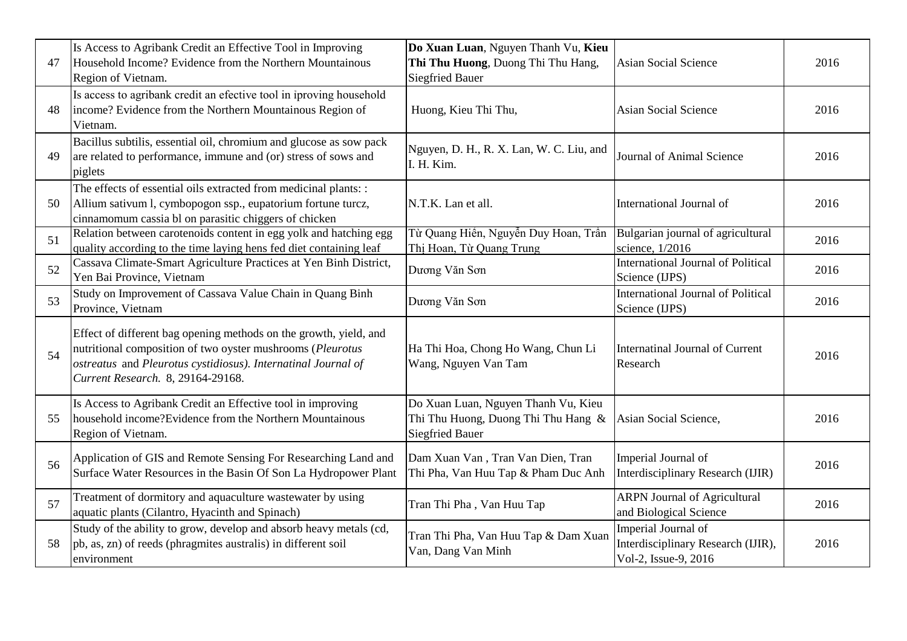| 47 | Is Access to Agribank Credit an Effective Tool in Improving<br>Household Income? Evidence from the Northern Mountainous<br>Region of Vietnam.                                                                                         | Do Xuan Luan, Nguyen Thanh Vu, Kieu<br>Thi Thu Huong, Duong Thi Thu Hang,<br><b>Siegfried Bauer</b>  | <b>Asian Social Science</b>                                                       | 2016 |
|----|---------------------------------------------------------------------------------------------------------------------------------------------------------------------------------------------------------------------------------------|------------------------------------------------------------------------------------------------------|-----------------------------------------------------------------------------------|------|
| 48 | Is access to agribank credit an efective tool in iproving household<br>income? Evidence from the Northern Mountainous Region of<br>Vietnam.                                                                                           | Huong, Kieu Thi Thu,                                                                                 | <b>Asian Social Science</b>                                                       | 2016 |
| 49 | Bacillus subtilis, essential oil, chromium and glucose as sow pack<br>are related to performance, immune and (or) stress of sows and<br>piglets                                                                                       | Nguyen, D. H., R. X. Lan, W. C. Liu, and<br>I. H. Kim.                                               | Journal of Animal Science                                                         | 2016 |
| 50 | The effects of essential oils extracted from medicinal plants: :<br>Allium sativum 1, cymbopogon ssp., eupatorium fortune turcz,<br>cinnamomum cassia bl on parasitic chiggers of chicken                                             | N.T.K. Lan et all.                                                                                   | International Journal of                                                          | 2016 |
| 51 | Relation between carotenoids content in egg yolk and hatching egg<br>quality according to the time laying hens fed diet containing leaf                                                                                               | Từ Quang Hiến, Nguyễn Duy Hoan, Trần<br>Thi Hoan, Từ Quang Trung                                     | Bulgarian journal of agricultural<br>science, 1/2016                              | 2016 |
| 52 | Cassava Climate-Smart Agriculture Practices at Yen Binh District,<br>Yen Bai Province, Vietnam                                                                                                                                        | Dương Văn Sơn                                                                                        | International Journal of Political<br>Science (IJPS)                              | 2016 |
| 53 | Study on Improvement of Cassava Value Chain in Quang Binh<br>Province, Vietnam                                                                                                                                                        | Dương Văn Sơn                                                                                        | <b>International Journal of Political</b><br>Science (IJPS)                       | 2016 |
| 54 | Effect of different bag opening methods on the growth, yield, and<br>nutritional composition of two oyster mushrooms (Pleurotus<br>ostreatus and Pleurotus cystidiosus). Internatinal Journal of<br>Current Research. 8, 29164-29168. | Ha Thi Hoa, Chong Ho Wang, Chun Li<br>Wang, Nguyen Van Tam                                           | <b>Internatinal Journal of Current</b><br>Research                                | 2016 |
| 55 | Is Access to Agribank Credit an Effective tool in improving<br>household income?Evidence from the Northern Mountainous<br>Region of Vietnam.                                                                                          | Do Xuan Luan, Nguyen Thanh Vu, Kieu<br>Thi Thu Huong, Duong Thi Thu Hang &<br><b>Siegfried Bauer</b> | Asian Social Science,                                                             | 2016 |
| 56 | Application of GIS and Remote Sensing For Researching Land and<br>Surface Water Resources in the Basin Of Son La Hydropower Plant                                                                                                     | Dam Xuan Van, Tran Van Dien, Tran<br>Thi Pha, Van Huu Tap & Pham Duc Anh                             | Imperial Journal of<br>Interdisciplinary Research (IJIR)                          | 2016 |
| 57 | Treatment of dormitory and aquaculture wastewater by using<br>aquatic plants (Cilantro, Hyacinth and Spinach)                                                                                                                         | Tran Thi Pha, Van Huu Tap                                                                            | <b>ARPN Journal of Agricultural</b><br>and Biological Science                     | 2016 |
| 58 | Study of the ability to grow, develop and absorb heavy metals (cd,<br>pb, as, zn) of reeds (phragmites australis) in different soil<br>environment                                                                                    | Tran Thi Pha, Van Huu Tap & Dam Xuan<br>Van, Dang Van Minh                                           | Imperial Journal of<br>Interdisciplinary Research (IJIR),<br>Vol-2, Issue-9, 2016 | 2016 |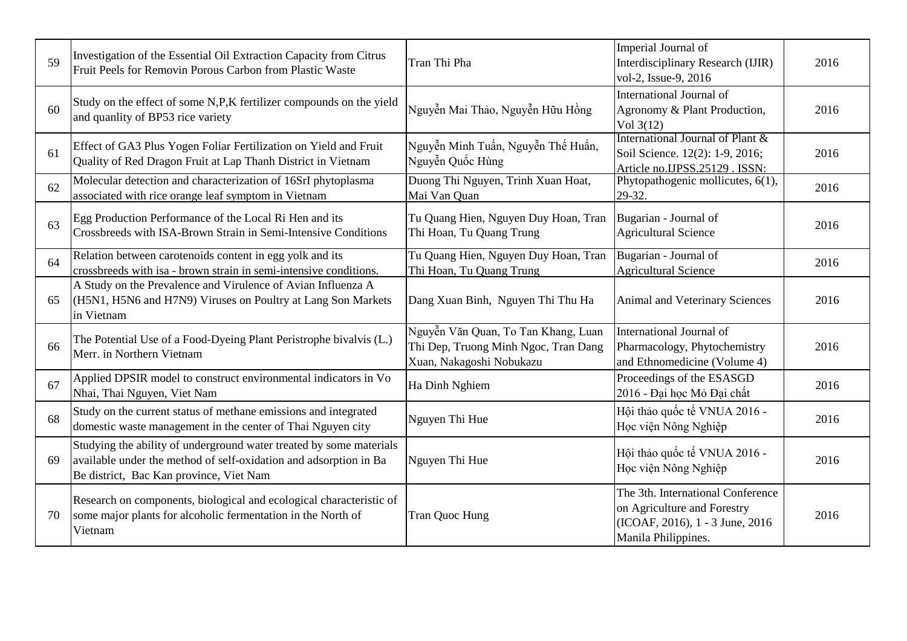| 59 | Investigation of the Essential Oil Extraction Capacity from Citrus<br>Fruit Peels for Removin Porous Carbon from Plastic Waste                                                      | Tran Thi Pha                                                                                            | Imperial Journal of<br>Interdisciplinary Research (IJIR)<br>vol-2, Issue-9, 2016                                           | 2016 |
|----|-------------------------------------------------------------------------------------------------------------------------------------------------------------------------------------|---------------------------------------------------------------------------------------------------------|----------------------------------------------------------------------------------------------------------------------------|------|
| 60 | Study on the effect of some N,P,K fertilizer compounds on the yield<br>and quanlity of BP53 rice variety                                                                            | Nguyễn Mai Thảo, Nguyễn Hữu Hồng                                                                        | International Journal of<br>Agronomy & Plant Production,<br>Vol $3(12)$                                                    | 2016 |
| 61 | Effect of GA3 Plus Yogen Foliar Fertilization on Yield and Fruit<br>Quality of Red Dragon Fruit at Lap Thanh District in Vietnam                                                    | Nguyễn Minh Tuấn, Nguyễn Thế Huấn,<br>Nguyễn Quốc Hùng                                                  | International Journal of Plant &<br>Soil Science. 12(2): 1-9, 2016;<br>Article no.IJPSS.25129 . ISSN:                      | 2016 |
| 62 | Molecular detection and characterization of 16SrI phytoplasma<br>associated with rice orange leaf symptom in Vietnam                                                                | Duong Thi Nguyen, Trinh Xuan Hoat,<br>Mai Van Quan                                                      | Phytopathogenic mollicutes, 6(1),<br>29-32.                                                                                | 2016 |
| 63 | Egg Production Performance of the Local Ri Hen and its<br>Crossbreeds with ISA-Brown Strain in Semi-Intensive Conditions                                                            | Tu Quang Hien, Nguyen Duy Hoan, Tran<br>Thi Hoan, Tu Quang Trung                                        | Bugarian - Journal of<br><b>Agricultural Science</b>                                                                       | 2016 |
| 64 | Relation between carotenoids content in egg yolk and its<br>crossbreeds with isa - brown strain in semi-intensive conditions.                                                       | Tu Quang Hien, Nguyen Duy Hoan, Tran<br>Thi Hoan, Tu Quang Trung                                        | Bugarian - Journal of<br><b>Agricultural Science</b>                                                                       | 2016 |
| 65 | A Study on the Prevalence and Virulence of Avian Influenza A<br>(H5N1, H5N6 and H7N9) Viruses on Poultry at Lang Son Markets<br>in Vietnam                                          | Dang Xuan Binh, Nguyen Thi Thu Ha                                                                       | Animal and Veterinary Sciences                                                                                             | 2016 |
| 66 | The Potential Use of a Food-Dyeing Plant Peristrophe bivalvis (L.)<br>Merr. in Northern Vietnam                                                                                     | Nguyễn Văn Quan, To Tan Khang, Luan<br>Thi Dep, Truong Minh Ngoc, Tran Dang<br>Xuan, Nakagoshi Nobukazu | International Journal of<br>Pharmacology, Phytochemistry<br>and Ethnomedicine (Volume 4)                                   | 2016 |
| 67 | Applied DPSIR model to construct environmental indicators in Vo<br>Nhai, Thai Nguyen, Viet Nam                                                                                      | Ha Dinh Nghiem                                                                                          | Proceedings of the ESASGD<br>2016 - Đai hoc Mỏ Đai chất                                                                    | 2016 |
| 68 | Study on the current status of methane emissions and integrated<br>domestic waste management in the center of Thai Nguyen city                                                      | Nguyen Thi Hue                                                                                          | Hội thảo quốc tế VNUA 2016 -<br>Học viện Nông Nghiệp                                                                       | 2016 |
| 69 | Studying the ability of underground water treated by some materials<br>available under the method of self-oxidation and adsorption in Ba<br>Be district, Bac Kan province, Viet Nam | Nguyen Thi Hue                                                                                          | Hội thảo quốc tế VNUA 2016 -<br>Học viện Nông Nghiệp                                                                       | 2016 |
| 70 | Research on components, biological and ecological characteristic of<br>some major plants for alcoholic fermentation in the North of<br>Vietnam                                      | Tran Quoc Hung                                                                                          | The 3th. International Conference<br>on Agriculture and Forestry<br>(ICOAF, 2016), 1 - 3 June, 2016<br>Manila Philippines. | 2016 |